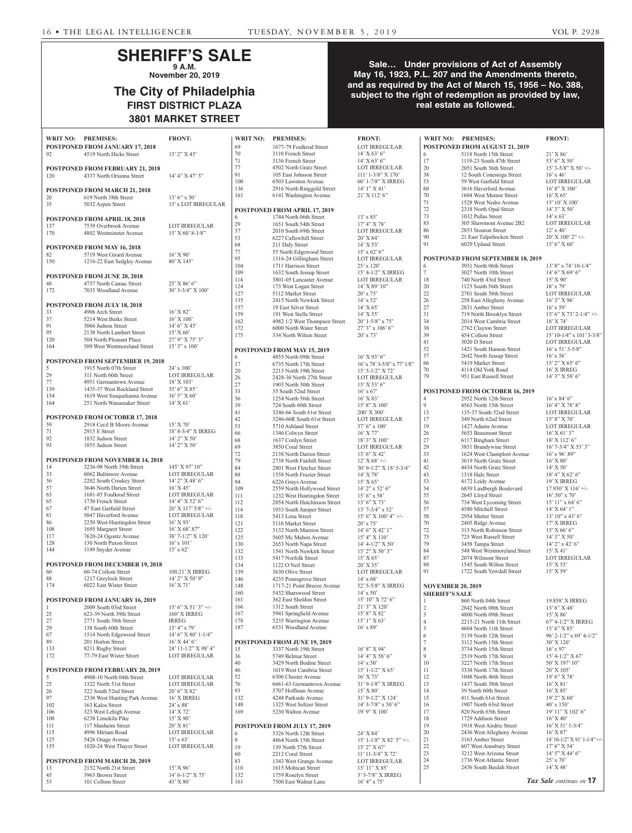## **SHERIFF'S SALE 9 A.M.**

**November 20, 2019**

# **The City of Philadelphia FIRST DISTRICT PLAZA 3801 MARKET STREET**

#### **Sale… Under provisions of Act of Assembly May 16, 1923, P.L. 207 and the Amendments thereto, and as required by the Act of March 15, 1956 – No. 388, subject to the right of redemption as provided by law, real estate as followed.**

| WRIT NO: PREMISES: |                                                         | <b>FRONT:</b>                                                               | WRIT NO:   | <b>PREMISES:</b>                                       | <b>FRONT:</b>                                                  | WRIT NO:                 | <b>PREMISES:</b>                                      | <b>FRONT:</b>                                |
|--------------------|---------------------------------------------------------|-----------------------------------------------------------------------------|------------|--------------------------------------------------------|----------------------------------------------------------------|--------------------------|-------------------------------------------------------|----------------------------------------------|
|                    | POSTPONED FROM JANUARY 17, 2018                         |                                                                             | 69         | 1677-79 Foulkrod Street                                | <b>LOT IRREGULAR</b>                                           |                          | POSTPONED FROM AUGUST 21, 2019                        |                                              |
| 92                 | 4519 North Hicks Street                                 | 15' 2" X 45'                                                                | 70         | 3110 French Street                                     | $14'$ X 63' 6"                                                 | 6                        | 5118 North 15th Street                                | $21'$ X 86'                                  |
|                    |                                                         |                                                                             | 71         | 3136 French Street                                     | $14'$ X 63' 6"                                                 | 17                       | 1119-23 South 47th Street                             | 53' 6" X 50'                                 |
|                    | POSTPONED FROM FEBRUARY 21, 2018                        |                                                                             | 77         | 4502 North Gratz Street                                | <b>LOT IRREGULAR</b>                                           | 20                       | 2051 South 56th Street                                | $15'$ 3-5/8" X 50' +/-                       |
| 120                | 4337 North Orianna Street                               | 14' 4" X 47' 3"                                                             | 91<br>100  | 105 East Johnson Street<br>6503 Lawnton Avenue         | $111'$ 1-3/8" X 170'<br>60' 1-7/8" X IRREG                     | $38\,$<br>53             | 12 South Conestoga Street<br>59 West Garfield Street  | $16'$ x 46 <sup>2</sup><br>LOT IRREGULAR     |
|                    |                                                         |                                                                             | 136        | 2916 North Ringgold Street                             | $14'1''$ X 41'                                                 | 60                       | 3616 Haverford Avenue                                 | 16' 8" X 100'                                |
|                    | POSTPONED FROM MARCH 21, 2018<br>619 North 38th Street  | $13'6''$ x 50'                                                              | 161        | 6141 Washington Avenue                                 | 21' X 112' 6"                                                  | 70                       | 1604 West Mentor Street                               | $16'$ X 65'                                  |
| 20<br>35           | 5032 Aspen Street                                       | 15' x LOT IRREGULAR                                                         |            |                                                        |                                                                | $71\,$                   | 1528 West Nedro Avenue                                | 15' 10' X 100'                               |
|                    |                                                         |                                                                             |            | POSTPONED FROM APRIL 17, 2019                          |                                                                | $72\,$                   | 2318 North Opal Street                                | 14' 3" X 50'                                 |
|                    | POSTPONED FROM APRIL 18, 2018                           |                                                                             | 6          | 1744 North 06th Street                                 | $13' \times 85'$                                               | $73\,$                   | 1032 Pallas Street                                    | $14' \times 63'$                             |
| 137                | 7539 Overbrook Avenue                                   | <b>LOT IRREGULAR</b>                                                        | 29         | 1651 South 54th Street                                 | $17'4''$ X 78'                                                 | 83                       | 305 Shawmont Avenue 2B2                               | LOT IRREGULAR                                |
| 170                | 4802 Westminster Avenue                                 | $15'$ X 60' 8-1/8"                                                          | 37         | 2010 South 69th Street                                 | <b>LOT IRREGULAR</b>                                           | 86<br>90                 | 2853 Stouton Street<br>21 East Tulpehocken Street     | $12' \times 40'$<br>$20'$ X $100'$ $2''$ +/- |
|                    |                                                         |                                                                             | 53<br>68   | 6227 Callowhill Street<br>211 Daly Street              | $20'$ X 84'<br>$14'$ X 53'                                     | 91                       | 6029 Upland Street                                    | 15' 6'' X 60'                                |
|                    | POSTPONED FROM MAY 16, 2018                             |                                                                             | 77         | 55 North Edgewood Street                               | $15'$ x 62' 6"                                                 |                          |                                                       |                                              |
| 82<br>150          | 5719 West Girard Avenue                                 | $16'$ X 90'                                                                 | 95         | 1316-24 Gillingham Street                              | <b>LOT IRREGULAR</b>                                           |                          | <b>POSTPONED FROM SEPTEMBER 18, 2019</b>              |                                              |
|                    | 1216-22 East Sedgley Avenue                             | 80' X 145'                                                                  | 104        | 1711 Harrison Street                                   | $25'$ x 120'                                                   | 6                        | 3931 North 06th Street                                | $13'8''$ x 74' 10-1/4"                       |
|                    | POSTPONED FROM JUNE 20, 2018                            |                                                                             | 109        | 1632 South Jessup Street                               | 15' 4-1/2" X IRREG                                             | $\tau$                   | 3027 North 10th Street                                | $14'6''$ X 69' 6"                            |
| 48                 | 4737 North Camac Street                                 | 25' X 86' 6"                                                                | 114        | 3801-05 Lancaster Avenue                               | <b>LOT IRREGULAR</b>                                           | 18                       | 740 North 43rd Street                                 | $15'$ X 90'                                  |
| 172                | 7035 Woodland Avenue                                    | 30' 3-3/4" X 100'                                                           | 124        | 173 West Logan Street                                  | $14'$ X 89' $10''$                                             | 20<br>$22\,$             | 1123 South 56th Street                                | $18'$ x 79'                                  |
|                    |                                                         |                                                                             | 127<br>135 | 5112 Market Street<br>2415 North Newkirk Street        | $20'$ x 75'<br>$14'$ x 52'                                     | 26                       | 2701 South 58th Street<br>258 East Allegheny Avenue   | <b>LOT IRREGULAR</b><br>$16'3''$ X 96'       |
|                    | <b>POSTPONED FROM JULY 18, 2018</b>                     |                                                                             | 157        | 19 East Silver Street                                  | $14'$ X 65'                                                    | 27                       | 2831 Amber Street                                     | $16'$ x 59'                                  |
| 33                 | 4906 Arch Street                                        | $16'$ X 82'                                                                 | 159        | 191 West Stella Street                                 | $14'$ X 55'                                                    | 31                       | 719 North Brooklyn Street                             | 15' 6" X 73' 2-1/4" +/-                      |
| 37                 | 5214 West Berks Street                                  | $16'$ X $100'$                                                              | 162        | 4982 1/2 West Thompson Street                          | $20'$ 1-5/8" x 75'                                             | 34                       | 2014 West Cambria Street                              | $18'$ X 74'                                  |
| 91<br>95           | 3066 Judson Street<br>2138 North Lambert Street         | $14'6''$ X 45'<br>15' X 60'                                                 | 172        | 6000 North Water Street                                | $27'3''$ x 106' 6"                                             | 38                       | 2762 Clayton Street                                   | <b>LOT IRREGULAR</b>                         |
| 120                | 504 North Pleasant Place                                | 27' 9" X 75' 3"                                                             | 175        | 334 North Wilton Street                                | $20'$ x 73'                                                    | 39                       | 454 Collom Street                                     | $15' 10-1/4"$ x $101' 3-3/8"$                |
| 164                | 509 West Westmoreland Street                            | $15'3''$ x $100'$                                                           |            |                                                        |                                                                | 41<br>52                 | 3020 D Street                                         | <b>LOT IRREGULAR</b>                         |
|                    |                                                         |                                                                             | 6          | POSTPONED FROM MAY 15, 2019                            | $16'$ X 93' 6"                                                 | 57                       | 1421 South Hanson Street<br>2642 North Jessup Street  | $16'$ x 51' 3-5/8"<br>$16'$ x 56'            |
|                    | POSTPONED FROM SEPTEMBER 19, 2018                       |                                                                             | 17         | 4855 North 09th Street<br>6735 North 17th Street       | $16'$ x 78' 3-5/8" x 77' $1/8$ "                               | 66                       | 5419 Market Street                                    | 15' 2" X 65' 6"                              |
| 5                  | 1915 North 07th Street                                  | $24'$ x $100'$                                                              | 20         | 2213 North 19th Street                                 | 15' 5-1/2" X 72'                                               | 70                       | 4114 Old York Road                                    | 16' X IRREG                                  |
| 29                 | 311 North 60th Street                                   | <b>LOT IRREGULAR</b>                                                        | 26         | 2428-30 North 27th Street                              | LOT IRREGULAR                                                  | 79                       | 951 East Russell Street                               | 14' 3" X 58' 6"                              |
| $77\,$<br>139      | 4951 Germantown Avenue<br>1435-37 West Rockland Street  | 18' X 103'<br>35' 6" X 85'                                                  | 27         | 1903 North 30th Street                                 | $15'$ X 53' 6"                                                 |                          |                                                       |                                              |
| 154                | 1619 West Susquehanna Avenue                            | $16'5''$ X 60'                                                              | 33         | 35 South 52nd Street                                   | $16'$ x 67                                                     |                          | POSTPONED FROM OCTOBER 16, 2019                       |                                              |
| 164                | 251 North Wanamaker Street                              | $14'$ X 61'                                                                 | 36         | 1254 North 56th Street                                 | $16'$ X 83'                                                    | $\overline{4}$           | 2952 North 12th Street                                | $16'$ x 84' 6"                               |
|                    |                                                         |                                                                             | 39<br>41   | 724 South 60th Street<br>3246-66 South 61st Street     | $15'8''$ X $100'$<br>200' X 300'                               | 9<br>13                  | 4563 North 15th Street<br>135-37 South 52nd Street    | 16' 4" X 78' 8"<br><b>LOT IRREGULAR</b>      |
|                    | POSTPONED FROM OCTOBER 17, 2018                         |                                                                             | 42         | 3246-66R South 61st Street                             | <b>LOT IRREGULAR</b>                                           | 17                       | 349 North 62nd Street                                 | 15' 8" X 70'                                 |
| 59                 | 2918 Cecil B Moore Avenue                               | $15'$ X 70'                                                                 | 53         | 5710 Ashland Street                                    | $37'6''$ x 100'                                                | 19                       | 1427 Adams Avenue                                     | <b>LOT IRREGULAR</b>                         |
| 71                 | 2915 E Street                                           | 18' 8-3/4" X IRREG                                                          | 66         | 1346 Colwyn Street                                     | $16'$ X 77'                                                    | 26                       | 5653 Beaumont Street                                  | $16'$ X 61' 3"                               |
| 92<br>93           | 1832 Judson Street                                      | $14'$ 2" X 50"                                                              | 68         | 1637 Conlyn Street                                     | 18' 3" X 100'                                                  | $27\,$                   | 6117 Bingham Street                                   | 18' X 112' 6"                                |
|                    | 1855 Judson Street                                      | 14' 2" X 50'                                                                | 69         | 3850 Coral Street                                      | LOT IRREGULAR                                                  | 29                       | 3851 Brandywine Street                                | $16'$ 7-3/4" X 53' 3"                        |
|                    | POSTPONED FROM NOVEMBER 14, 2018                        |                                                                             | 72<br>79   | 2138 North Darien Street<br>2738 North Fairhill Street | $13'6''$ X 42'<br>$12'$ X 68' +/-                              | 33<br>41                 | 1624 West Champlost Avenue<br>3619 North Gratz Street | $16'$ x 96'.89"<br>$16'$ X $80'$             |
| 14                 | 3236-98 North 19th Street                               | 145' X 97' 10"                                                              | 84         | 2801 West Fletcher Street                              | $30^{\circ}\,9\text{-}1/2^{\circ\circ}\,\mathrm{X}$ 18' 5-3/4" | 42                       | 4434 North Gratz Street                               | $14'$ X 50'                                  |
| 33                 | 6062 Baltimore Avenue                                   | <b>LOT IRREGULAR</b>                                                        | 88         | 1558 North Frazier Street                              | 14' X 78'                                                      | 43                       | 1318 Hale Street                                      | $18'$ 4" X 62' 6"                            |
| 56                 | 2202 South Croskey Street                               | $14'$ 2" X 48' 6"                                                           | 94         | 6226 Grays Avenue                                      | 15' X 65'                                                      | 53                       | 4172 Leidy Avenue                                     | 19' X IRREG                                  |
| 57                 | 3646 North Darien Street                                | $16'$ X 45'                                                                 | 109        | 2559 North Hollywood Street                            | $14'$ 2" x 52' 6"                                              | 54                       | 6839 Lindbergh Boulevard                              | $17.930'$ X $116'$ +/-                       |
| 63                 | 1681-85 Foulkrod Street                                 | LOT IRREGULAR                                                               | 111        | 1232 West Huntingdon Street                            | $15'6''$ x 58'                                                 | 55                       | 2645 Lloyd Street                                     | $16^{\circ}$ .50" x 70"                      |
| 65<br>67           | 1730 French Street<br>47 East Garfield Street           | 14' 4'' X 52' 6''<br>$20^{\circ}\,\mathrm{X}$ 117' $5/8^{\prime\prime}$ +/- | 112        | 2854 North Hutchinson Street                           | $13'6''$ X 73'                                                 | 56<br>57                 | 734 West Lycoming Street<br>4580 Mitchell Street      | $15' 11''$ x 64' 6"                          |
| 81                 | 5047 Haverford Avenue                                   | <b>LOT IRREGULAR</b>                                                        | 114<br>118 | 1933 South Juniper Street<br>5413 Lena Street          | $13'$ 7-3/4" x 32"<br>$15'$ 6" X $100'$ 4" +/-                 | 58                       | 2954 Mutter Street                                    | $14'$ X 64' 1"<br>$13'$ 10" x 43' 6"         |
| 86                 | 2250 West Huntingdon Street                             | $16'$ X 93'                                                                 | 121        | 5110 Market Street                                     | $20'$ x 75'                                                    | 70                       | 2405 Ridge Avenue                                     | 17' X IRREG                                  |
| 108                | 1695 Margaret Street                                    | 16' X 68'.87"                                                               | 122        | 3132 North Marston Street                              | 14' 6" X 42' 1"                                                | $72\,$                   | 315 North Robinson Street                             | $15'$ X 66' 6"                               |
| 117                | 7620-24 Ogontz Avenue                                   | 38' 7-1/2" X 120'                                                           | 125        | 5605 Mc Mahon Avenue                                   | 15' 4'' X 110'                                                 | 73                       | 725 West Russell Street                               | 14' 3" X 50'                                 |
| 128                | 130 North Paxon Street                                  | $16'$ x $101'$                                                              | 130        | 2653 North Napa Street                                 | $14' 4 - 1/2'' X 50'$                                          | 79                       | 3458 Tampa Street                                     | 14' 2" x 42' 6"                              |
| 144                | 1149 Snyder Avenue                                      | $15'$ x 62'                                                                 | 132        | 1541 North Newkirk Street                              | 15' 2" X 50' 3"                                                | 84                       | 548 West Westmoreland Street                          | $15'$ X 41'                                  |
|                    |                                                         |                                                                             | 133        | 5417 Norfolk Street                                    | $15'$ X 65'                                                    | 87<br>88                 | 2074 Wilmont Street<br>1545 South Wilton Street       | <b>LOT IRREGULAR</b><br>15' X 53'            |
| 60                 | POSTPONED FROM DECEMBER 19, 2018<br>60-74 Collom Street | 100.21' X IRREG                                                             | 134<br>139 | 1122 O Neil Street<br>3630 Olive Street                | 20' X 35'<br>LOT IRREGULAR                                     | 91                       | 1722 South Yewdall Street                             | 15' X 59'                                    |
| $88\,$             | 1217 Greylock Street                                    | 14' 2" X 50' 9"                                                             | 146        | 4235 Pennsgrove Street                                 | $14' \times 68'$                                               |                          |                                                       |                                              |
| 174                | 6022 East Wister Street                                 | $16'$ X 71'                                                                 | 148        | 1717-21 Point Breeze Avenue                            | 52' 5-5/8" X IRREG                                             | <b>NOVEMBER 20, 2019</b> |                                                       |                                              |
|                    |                                                         |                                                                             | 160        | 5432 Sharswood Street                                  | $14' \times 50'$                                               | <b>SHERIFF'S SALE</b>    |                                                       |                                              |
|                    | POSTPONED FROM JANUARY 16, 2019                         |                                                                             | 161        | 362 East Sheldon Street                                | 15' 10" X 72' 6"                                               |                          | 860 North 04th Street                                 | 19.858' X IRREG                              |
|                    | 2009 South 03rd Street                                  | $15'$ 6" X 51' 3" +/-                                                       | 166        | 1312 South Street                                      | 21' 3" X 120'                                                  | $\overline{2}$           | 2842 North 08th Street                                | 13' 6" X 48'                                 |
| $25\,$             | 623-39 North 39th Street                                | 160' X IRREG                                                                | 167<br>178 | 5941 Springfield Avenue<br>5235 Warrington Avenue      | 15' 8" X 82'<br>15' 1" X 63'                                   | $\overline{3}$           | 4800 North 09th Street                                | $15'$ X $86'$                                |
| 27<br>29           | 2771 South 58th Street<br>138 South 60th Street         | <b>IRREG</b><br>$15' 4''$ x 79'                                             | 187        | 6531 Woodland Avenue                                   | $16'$ x 89'                                                    | $\overline{4}$<br>5      | 2215-21 North 11th Street                             | 67' 4-1/2" X IRREG<br>15' 6" X 85'           |
| 67                 | 1514 North Edgewood Street                              | $14'6''$ X 80' 1-1/4"                                                       |            |                                                        |                                                                | 6                        | 4604 North 11th Street<br>5139 North 12th Street      | 96' 2-1/2" x 69' 4-1/2"                      |
| 89                 | 201 Horton Street                                       | $16'$ X 44' 6"                                                              |            | POSTPONED FROM JUNE 19, 2019                           |                                                                | $\overline{7}$           | 3112 North 15th Street                                | 30' X 120'                                   |
| 133                | 8211 Rugby Street                                       | 24' 11-1/2" X 98' 4"                                                        | 15         | 3337 North 19th Street                                 | 16' 8" X 94'                                                   | $8\phantom{.0}$          | 3734 North 15th Street                                | $16'$ x 97'                                  |
| 172                | 77-79 East Wister Street                                | <b>LOT IRREGULAR</b>                                                        | 36         | 5749 Belmar Street                                     | 14' 4" X 58' 6"                                                | 9                        | 2519 North 17th Street                                | $15' 4-1/2'' X 67'$                          |
|                    |                                                         |                                                                             | 40         | 3429 North Bodine Street                               | $14' \times 50'$                                               | 10                       | 3227 North 17th Street                                | 50' X 197' 10"                               |
|                    | POSTPONED FROM FEBRUARY 20, 2019                        |                                                                             | 46         | 1019 West Cambria Street                               | $15'$ 1-1/2" X 65'                                             | 11                       | 3338 North 17th Street                                | 20' X 105'                                   |
| 5                  | 4908-10 North 04th Street<br>1322 North 51st Street     | <b>LOT IRREGULAR</b><br><b>LOT IRREGULAR</b>                                | 52<br>76   | 6306 Chester Avenue<br>6661-63 Germantown Avenue       | $16'$ X 73'<br>31' 9-1/8" X IRREG                              | 12<br>13                 | 1048 North 46th Street<br>1437 South 58th Street      | $19'6''$ X 78'<br>$16'$ X 81'                |
| $25\,$<br>$26\,$   | 322 South 52nd Street                                   | 20' 6" X 82'                                                                | 93         | 5707 Hoffman Avenue                                    | $15'$ X 80'                                                    | 14                       | 39 North 60th Street                                  | 16' X 85'                                    |
| 97                 | 2336 West Hunting Park Avenue                           | 16' X IRREG                                                                 | 132        | 4248 Parkside Avenue                                   | 31'9-1/2" X 124'                                               | 15                       | 411 South 61st Street                                 | 19' 2" X 60'                                 |
| 102                | 163 Kalos Street                                        | 24' x 88'                                                                   | 148        | 1325 West Seltzer Street                               | $14'$ 3-7/8" x 50' 6"                                          | 16                       | 1907 North 63rd Street                                | $40'$ x $150'$                               |
| 106                | 323 West Lehigh Avenue                                  | 14' X 72'                                                                   | 169        | 5230 Walton Avenue                                     | 19' 9" X 100'                                                  | 17                       | 820 North 65th Street                                 | 19' 11" X 102' 6"                            |
| 108                | 6238 Limekiln Pike                                      | 15' X 90'                                                                   |            |                                                        |                                                                | 18                       | 1729 Addison Street                                   | $16'$ X 40'                                  |
| 111                | 117 Manheim Street                                      | 20' X 81'                                                                   |            | POSTPONED FROM JULY 17, 2019                           |                                                                | 19                       | 1918 West Airdrie Street                              | $16'$ X 51' 1-3/4"                           |
| 115<br>125         | 4996 Miriam Road                                        | <b>LOT IRREGULAR</b><br>$15'$ x 63'                                         | 6          | 5326 North 12th Street                                 | 24' X 84'                                                      | 20<br>21                 | 2436 West Allegheny Avenue<br>3163 Amber Street       | $16'$ X 87'<br>14' 10-1/2" X 91' 1-1/4" +/-  |
| 155                | 5426 Osage Avenue<br>1020-24 West Thayer Street         | <b>LOT IRREGULAR</b>                                                        | 9<br>19    | 4864 North 15th Street<br>139 North 57th Street        | $15' 1 - 1/8''$ X 82' 5" +/-<br>$15'$ 2" X 67"                 | 22                       | 607 West Annsbury Street                              | $17'6''$ X 54'                               |
|                    |                                                         |                                                                             | 60         | 2212 Coral Street                                      | 11' 11-3/4" X 72'                                              | $23\,$                   | 3212 West Arizona Street                              | $14'5''$ X 44' 6"                            |
|                    | POSTPONED FROM MARCH 20, 2019                           |                                                                             | 83         | 1343 West Grange Avenue                                | <b>LOT IRREGULAR</b>                                           | 24                       | 1736 West Atlantic Street                             | $25'$ x 70'                                  |
| 13                 | 2152 North 21st Street                                  | $15'$ X 96'                                                                 | 110        | 1615 Mohican Street                                    | 15' 11" X 85'                                                  | 25                       | 2436 South Beulah Street                              | $14'$ X 48'                                  |
| $45\,$             | 3963 Brown Street                                       | $14' 6 - 1/2''  X 75'$                                                      | 132        | 1759 Roselyn Street                                    | 3' 3-7/8" X IRREG                                              |                          |                                                       |                                              |
| 53                 | 101 Collom Street                                       | 43' X 80'                                                                   | 161        | 7500 East Walnut Lane                                  | $16' 4''$ x 75'                                                |                          |                                                       | Tax Sale continues on 17                     |